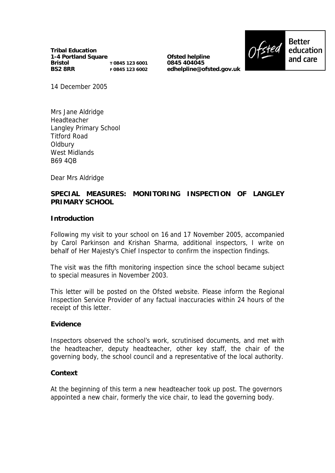**Tribal Education 1-4 Portland Square Bristol BS2 8RR T 0845 123 6001 F 0845 123 6002**

**Ofsted helpline 0845 404045 edhelpline@ofsted.gov.uk**



14 December 2005

Mrs Jane Aldridge Headteacher Langley Primary School Titford Road **Oldbury** West Midlands B69 4QB

Dear Mrs Aldridge

## **SPECIAL MEASURES: MONITORING INSPECTION OF LANGLEY PRIMARY SCHOOL**

#### **Introduction**

Following my visit to your school on 16 and 17 November 2005, accompanied by Carol Parkinson and Krishan Sharma, additional inspectors, I write on behalf of Her Majesty's Chief Inspector to confirm the inspection findings.

The visit was the fifth monitoring inspection since the school became subject to special measures in November 2003.

This letter will be posted on the Ofsted website. Please inform the Regional Inspection Service Provider of any factual inaccuracies within 24 hours of the receipt of this letter.

#### **Evidence**

Inspectors observed the school's work, scrutinised documents, and met with the headteacher, deputy headteacher, other key staff, the chair of the governing body, the school council and a representative of the local authority.

#### **Context**

At the beginning of this term a new headteacher took up post. The governors appointed a new chair, formerly the vice chair, to lead the governing body.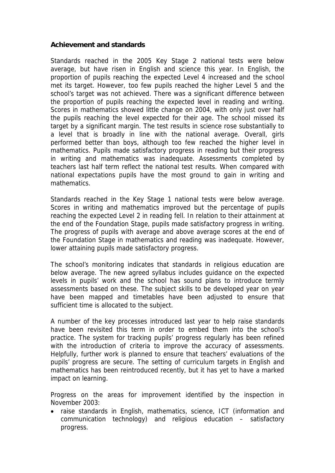## **Achievement and standards**

Standards reached in the 2005 Key Stage 2 national tests were below average, but have risen in English and science this year. In English, the proportion of pupils reaching the expected Level 4 increased and the school met its target. However, too few pupils reached the higher Level 5 and the school's target was not achieved. There was a significant difference between the proportion of pupils reaching the expected level in reading and writing. Scores in mathematics showed little change on 2004, with only just over half the pupils reaching the level expected for their age. The school missed its target by a significant margin. The test results in science rose substantially to a level that is broadly in line with the national average. Overall, girls performed better than boys, although too few reached the higher level in mathematics. Pupils made satisfactory progress in reading but their progress in writing and mathematics was inadequate. Assessments completed by teachers last half term reflect the national test results. When compared with national expectations pupils have the most ground to gain in writing and mathematics.

Standards reached in the Key Stage 1 national tests were below average. Scores in writing and mathematics improved but the percentage of pupils reaching the expected Level 2 in reading fell. In relation to their attainment at the end of the Foundation Stage, pupils made satisfactory progress in writing. The progress of pupils with average and above average scores at the end of the Foundation Stage in mathematics and reading was inadequate. However, lower attaining pupils made satisfactory progress.

The school's monitoring indicates that standards in religious education are below average. The new agreed syllabus includes guidance on the expected levels in pupils' work and the school has sound plans to introduce termly assessments based on these. The subject skills to be developed year on year have been mapped and timetables have been adjusted to ensure that sufficient time is allocated to the subject.

A number of the key processes introduced last year to help raise standards have been revisited this term in order to embed them into the school's practice. The system for tracking pupils' progress regularly has been refined with the introduction of criteria to improve the accuracy of assessments. Helpfully, further work is planned to ensure that teachers' evaluations of the pupils' progress are secure. The setting of curriculum targets in English and mathematics has been reintroduced recently, but it has yet to have a marked impact on learning.

Progress on the areas for improvement identified by the inspection in November 2003:

• raise standards in English, mathematics, science, ICT (information and communication technology) and religious education – satisfactory progress.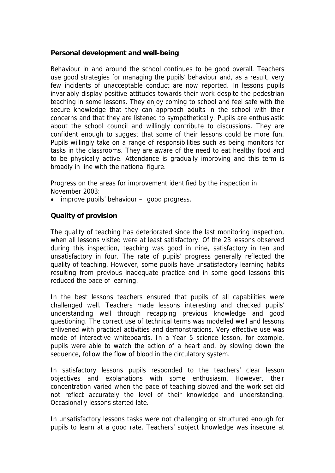## **Personal development and well-being**

Behaviour in and around the school continues to be good overall. Teachers use good strategies for managing the pupils' behaviour and, as a result, very few incidents of unacceptable conduct are now reported. In lessons pupils invariably display positive attitudes towards their work despite the pedestrian teaching in some lessons. They enjoy coming to school and feel safe with the secure knowledge that they can approach adults in the school with their concerns and that they are listened to sympathetically. Pupils are enthusiastic about the school council and willingly contribute to discussions. They are confident enough to suggest that some of their lessons could be more fun. Pupils willingly take on a range of responsibilities such as being monitors for tasks in the classrooms. They are aware of the need to eat healthy food and to be physically active. Attendance is gradually improving and this term is broadly in line with the national figure.

Progress on the areas for improvement identified by the inspection in November 2003:

• improve pupils' behaviour – good progress.

# **Quality of provision**

The quality of teaching has deteriorated since the last monitoring inspection, when all lessons visited were at least satisfactory. Of the 23 lessons observed during this inspection, teaching was good in nine, satisfactory in ten and unsatisfactory in four. The rate of pupils' progress generally reflected the quality of teaching. However, some pupils have unsatisfactory learning habits resulting from previous inadequate practice and in some good lessons this reduced the pace of learning.

In the best lessons teachers ensured that pupils of all capabilities were challenged well. Teachers made lessons interesting and checked pupils' understanding well through recapping previous knowledge and good questioning. The correct use of technical terms was modelled well and lessons enlivened with practical activities and demonstrations. Very effective use was made of interactive whiteboards. In a Year 5 science lesson, for example, pupils were able to watch the action of a heart and, by slowing down the sequence, follow the flow of blood in the circulatory system.

In satisfactory lessons pupils responded to the teachers' clear lesson objectives and explanations with some enthusiasm. However, their concentration varied when the pace of teaching slowed and the work set did not reflect accurately the level of their knowledge and understanding. Occasionally lessons started late.

In unsatisfactory lessons tasks were not challenging or structured enough for pupils to learn at a good rate. Teachers' subject knowledge was insecure at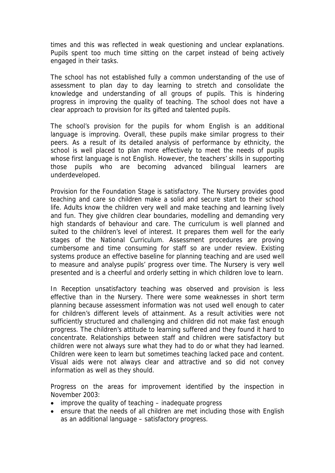times and this was reflected in weak questioning and unclear explanations. Pupils spent too much time sitting on the carpet instead of being actively engaged in their tasks.

The school has not established fully a common understanding of the use of assessment to plan day to day learning to stretch and consolidate the knowledge and understanding of all groups of pupils. This is hindering progress in improving the quality of teaching. The school does not have a clear approach to provision for its gifted and talented pupils.

The school's provision for the pupils for whom English is an additional language is improving. Overall, these pupils make similar progress to their peers. As a result of its detailed analysis of performance by ethnicity, the school is well placed to plan more effectively to meet the needs of pupils whose first language is not English. However, the teachers' skills in supporting those pupils who are becoming advanced bilingual learners are underdeveloped.

Provision for the Foundation Stage is satisfactory. The Nursery provides good teaching and care so children make a solid and secure start to their school life. Adults know the children very well and make teaching and learning lively and fun. They give children clear boundaries, modelling and demanding very high standards of behaviour and care. The curriculum is well planned and suited to the children's level of interest. It prepares them well for the early stages of the National Curriculum. Assessment procedures are proving cumbersome and time consuming for staff so are under review. Existing systems produce an effective baseline for planning teaching and are used well to measure and analyse pupils' progress over time. The Nursery is very well presented and is a cheerful and orderly setting in which children love to learn.

In Reception unsatisfactory teaching was observed and provision is less effective than in the Nursery. There were some weaknesses in short term planning because assessment information was not used well enough to cater for children's different levels of attainment. As a result activities were not sufficiently structured and challenging and children did not make fast enough progress. The children's attitude to learning suffered and they found it hard to concentrate. Relationships between staff and children were satisfactory but children were not always sure what they had to do or what they had learned. Children were keen to learn but sometimes teaching lacked pace and content. Visual aids were not always clear and attractive and so did not convey information as well as they should.

Progress on the areas for improvement identified by the inspection in November 2003:

- improve the quality of teaching inadequate progress
- ensure that the needs of all children are met including those with English as an additional language – satisfactory progress.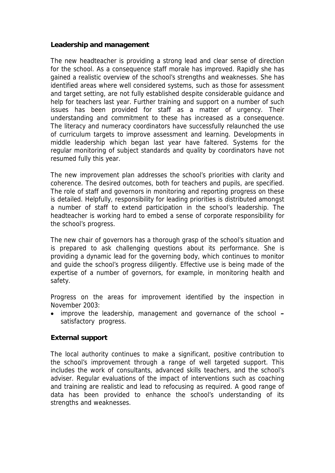### **Leadership and management**

The new headteacher is providing a strong lead and clear sense of direction for the school. As a consequence staff morale has improved. Rapidly she has gained a realistic overview of the school's strengths and weaknesses. She has identified areas where well considered systems, such as those for assessment and target setting, are not fully established despite considerable guidance and help for teachers last year. Further training and support on a number of such issues has been provided for staff as a matter of urgency. Their understanding and commitment to these has increased as a consequence. The literacy and numeracy coordinators have successfully relaunched the use of curriculum targets to improve assessment and learning. Developments in middle leadership which began last year have faltered. Systems for the regular monitoring of subject standards and quality by coordinators have not resumed fully this year.

The new improvement plan addresses the school's priorities with clarity and coherence. The desired outcomes, both for teachers and pupils, are specified. The role of staff and governors in monitoring and reporting progress on these is detailed. Helpfully, responsibility for leading priorities is distributed amongst a number of staff to extend participation in the school's leadership. The headteacher is working hard to embed a sense of corporate responsibility for the school's progress.

The new chair of governors has a thorough grasp of the school's situation and is prepared to ask challenging questions about its performance. She is providing a dynamic lead for the governing body, which continues to monitor and guide the school's progress diligently. Effective use is being made of the expertise of a number of governors, for example, in monitoring health and safety.

Progress on the areas for improvement identified by the inspection in November 2003:

 improve the leadership, management and governance of the school **–** satisfactory progress.

### **External support**

The local authority continues to make a significant, positive contribution to the school's improvement through a range of well targeted support. This includes the work of consultants, advanced skills teachers, and the school's adviser. Regular evaluations of the impact of interventions such as coaching and training are realistic and lead to refocusing as required. A good range of data has been provided to enhance the school's understanding of its strengths and weaknesses.